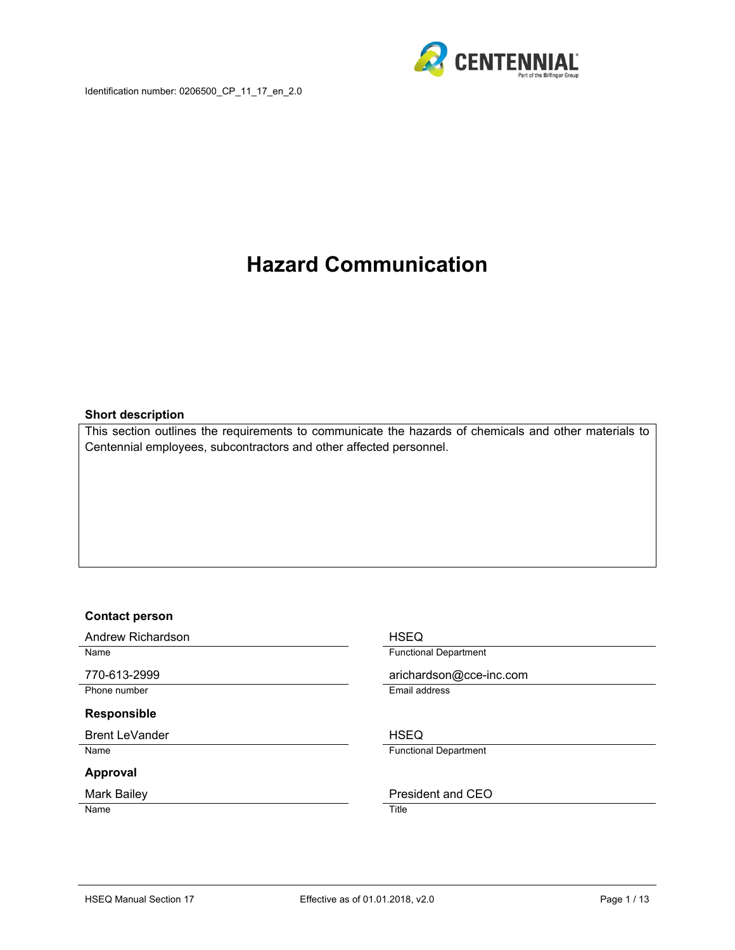



# **Hazard Communication**

#### **Short description**

This section outlines the requirements to communicate the hazards of chemicals and other materials to Centennial employees, subcontractors and other affected personnel.

#### **Contact person**

Andrew Richardson **HSEQ** 

#### **Responsible**

Brent LeVander **HSEQ** 

#### **Approval**

Name Title

Name **Functional Department** 

770-613-2999 arichardson@cce-inc.com Phone number **Email address** 

Name **Functional Department** 

#### Mark Bailey **President and CEO**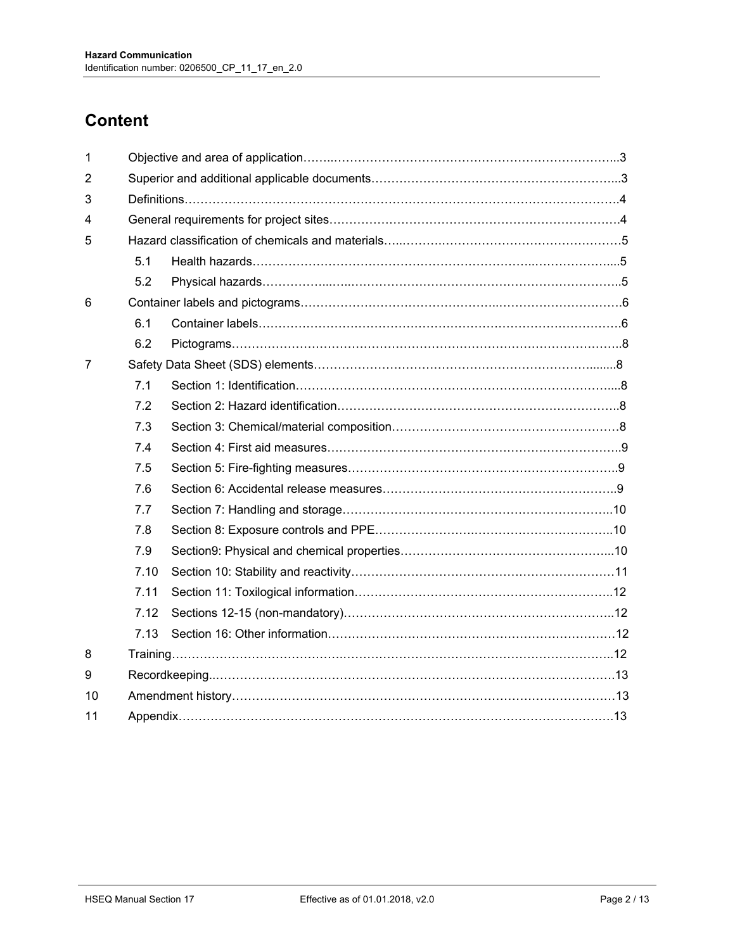# **Content**

| 5.1  |  |  |  |  |
|------|--|--|--|--|
| 5.2  |  |  |  |  |
|      |  |  |  |  |
| 6.1  |  |  |  |  |
| 6.2  |  |  |  |  |
|      |  |  |  |  |
| 7.1  |  |  |  |  |
| 7.2  |  |  |  |  |
| 7.3  |  |  |  |  |
| 7.4  |  |  |  |  |
| 7.5  |  |  |  |  |
| 7.6  |  |  |  |  |
| 7.7  |  |  |  |  |
| 7.8  |  |  |  |  |
| 7.9  |  |  |  |  |
| 7.10 |  |  |  |  |
| 7.11 |  |  |  |  |
| 7.12 |  |  |  |  |
| 7.13 |  |  |  |  |
|      |  |  |  |  |
|      |  |  |  |  |
|      |  |  |  |  |
|      |  |  |  |  |
|      |  |  |  |  |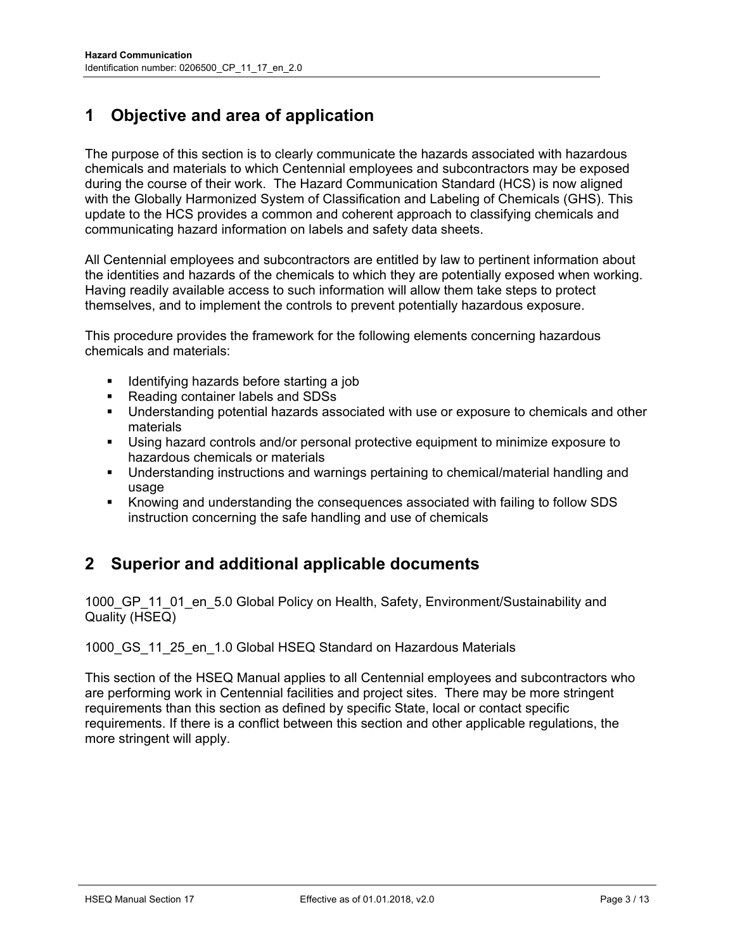# **1 Objective and area of application**

The purpose of this section is to clearly communicate the hazards associated with hazardous chemicals and materials to which Centennial employees and subcontractors may be exposed during the course of their work. The Hazard Communication Standard (HCS) is now aligned with the Globally Harmonized System of Classification and Labeling of Chemicals (GHS). This update to the HCS provides a common and coherent approach to classifying chemicals and communicating hazard information on labels and safety data sheets.

All Centennial employees and subcontractors are entitled by law to pertinent information about the identities and hazards of the chemicals to which they are potentially exposed when working. Having readily available access to such information will allow them take steps to protect themselves, and to implement the controls to prevent potentially hazardous exposure.

This procedure provides the framework for the following elements concerning hazardous chemicals and materials:

- Identifying hazards before starting a job
- Reading container labels and SDSs
- Understanding potential hazards associated with use or exposure to chemicals and other materials
- Using hazard controls and/or personal protective equipment to minimize exposure to hazardous chemicals or materials
- Understanding instructions and warnings pertaining to chemical/material handling and usage
- Knowing and understanding the consequences associated with failing to follow SDS instruction concerning the safe handling and use of chemicals

## **2 Superior and additional applicable documents**

1000 GP 11 01 en 5.0 Global Policy on Health, Safety, Environment/Sustainability and Quality (HSEQ)

#### 1000 GS 11 25 en 1.0 Global HSEQ Standard on Hazardous Materials

This section of the HSEQ Manual applies to all Centennial employees and subcontractors who are performing work in Centennial facilities and project sites. There may be more stringent requirements than this section as defined by specific State, local or contact specific requirements. If there is a conflict between this section and other applicable regulations, the more stringent will apply.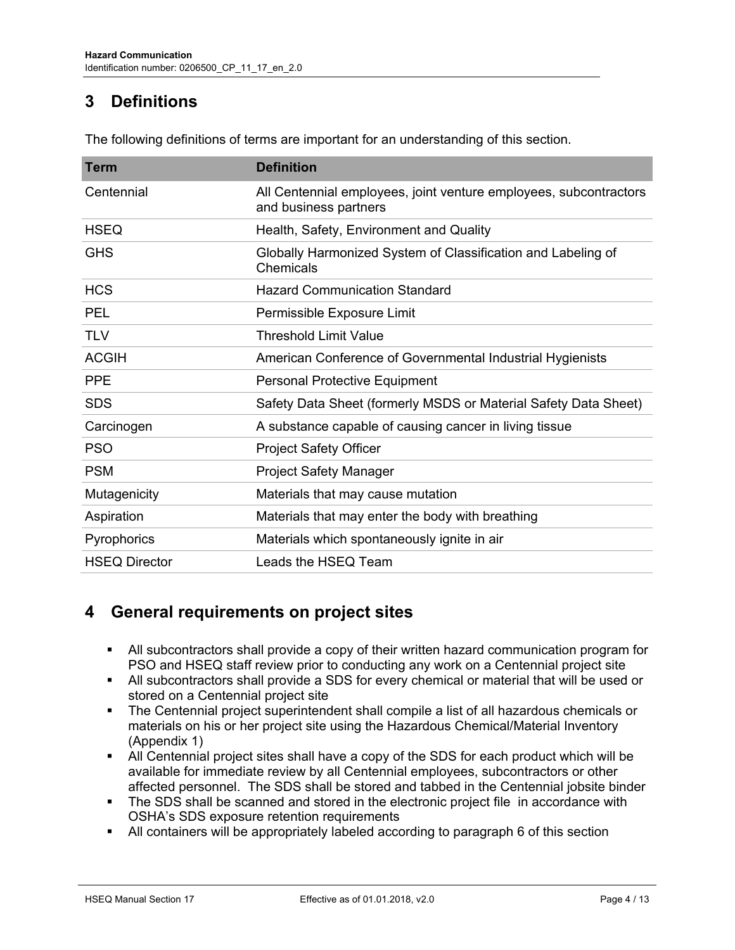# **3 Definitions**

| <b>Term</b>          | <b>Definition</b>                                                                          |  |  |  |
|----------------------|--------------------------------------------------------------------------------------------|--|--|--|
| Centennial           | All Centennial employees, joint venture employees, subcontractors<br>and business partners |  |  |  |
| <b>HSEQ</b>          | Health, Safety, Environment and Quality                                                    |  |  |  |
| <b>GHS</b>           | Globally Harmonized System of Classification and Labeling of<br><b>Chemicals</b>           |  |  |  |
| <b>HCS</b>           | <b>Hazard Communication Standard</b>                                                       |  |  |  |
| <b>PEL</b>           | Permissible Exposure Limit                                                                 |  |  |  |
| <b>TLV</b>           | <b>Threshold Limit Value</b>                                                               |  |  |  |
| <b>ACGIH</b>         | American Conference of Governmental Industrial Hygienists                                  |  |  |  |
| <b>PPE</b>           | <b>Personal Protective Equipment</b>                                                       |  |  |  |
| <b>SDS</b>           | Safety Data Sheet (formerly MSDS or Material Safety Data Sheet)                            |  |  |  |
| Carcinogen           | A substance capable of causing cancer in living tissue                                     |  |  |  |
| <b>PSO</b>           | <b>Project Safety Officer</b>                                                              |  |  |  |
| <b>PSM</b>           | <b>Project Safety Manager</b>                                                              |  |  |  |
| Mutagenicity         | Materials that may cause mutation                                                          |  |  |  |
| Aspiration           | Materials that may enter the body with breathing                                           |  |  |  |
| Pyrophorics          | Materials which spontaneously ignite in air                                                |  |  |  |
| <b>HSEQ Director</b> | Leads the HSEQ Team                                                                        |  |  |  |

The following definitions of terms are important for an understanding of this section.

# **4 General requirements on project sites**

- All subcontractors shall provide a copy of their written hazard communication program for PSO and HSEQ staff review prior to conducting any work on a Centennial project site
- All subcontractors shall provide a SDS for every chemical or material that will be used or stored on a Centennial project site
- **The Centennial project superintendent shall compile a list of all hazardous chemicals or** materials on his or her project site using the Hazardous Chemical/Material Inventory (Appendix 1)
- All Centennial project sites shall have a copy of the SDS for each product which will be available for immediate review by all Centennial employees, subcontractors or other affected personnel. The SDS shall be stored and tabbed in the Centennial jobsite binder
- The SDS shall be scanned and stored in the electronic project file in accordance with OSHA's SDS exposure retention requirements
- All containers will be appropriately labeled according to paragraph 6 of this section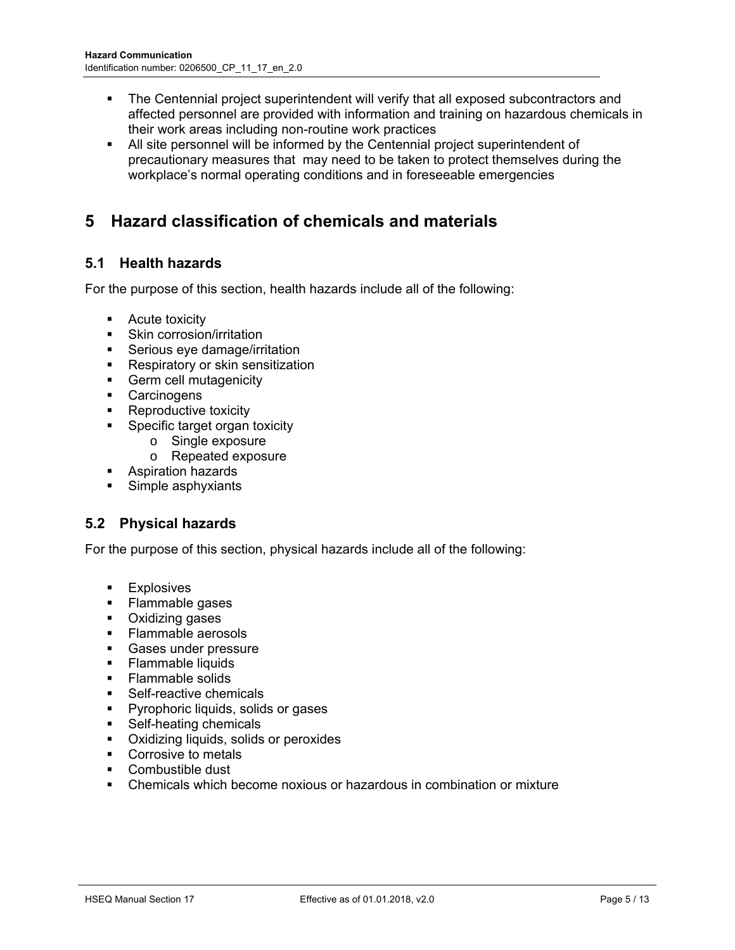- The Centennial project superintendent will verify that all exposed subcontractors and affected personnel are provided with information and training on hazardous chemicals in their work areas including non-routine work practices
- All site personnel will be informed by the Centennial project superintendent of precautionary measures that may need to be taken to protect themselves during the workplace's normal operating conditions and in foreseeable emergencies

# **5 Hazard classification of chemicals and materials**

## **5.1 Health hazards**

For the purpose of this section, health hazards include all of the following:

- **-** Acute toxicity
- Skin corrosion/irritation
- **Serious eye damage/irritation**
- **Respiratory or skin sensitization**
- **Germ cell mutagenicity**
- **Carcinogens**
- **Reproductive toxicity**
- **Specific target organ toxicity** 
	- o Single exposure
	- o Repeated exposure
- **Aspiration hazards**
- Simple asphyxiants

## **5.2 Physical hazards**

For the purpose of this section, physical hazards include all of the following:

- **Explosives**
- Flammable gases
- **•** Oxidizing gases
- **Flammable aerosols**
- **Gases under pressure**
- Flammable liquids
- Flammable solids
- **Self-reactive chemicals**
- **Pyrophoric liquids, solids or gases**
- **Self-heating chemicals**
- Oxidizing liquids, solids or peroxides
- Corrosive to metals
- Combustible dust
- Chemicals which become noxious or hazardous in combination or mixture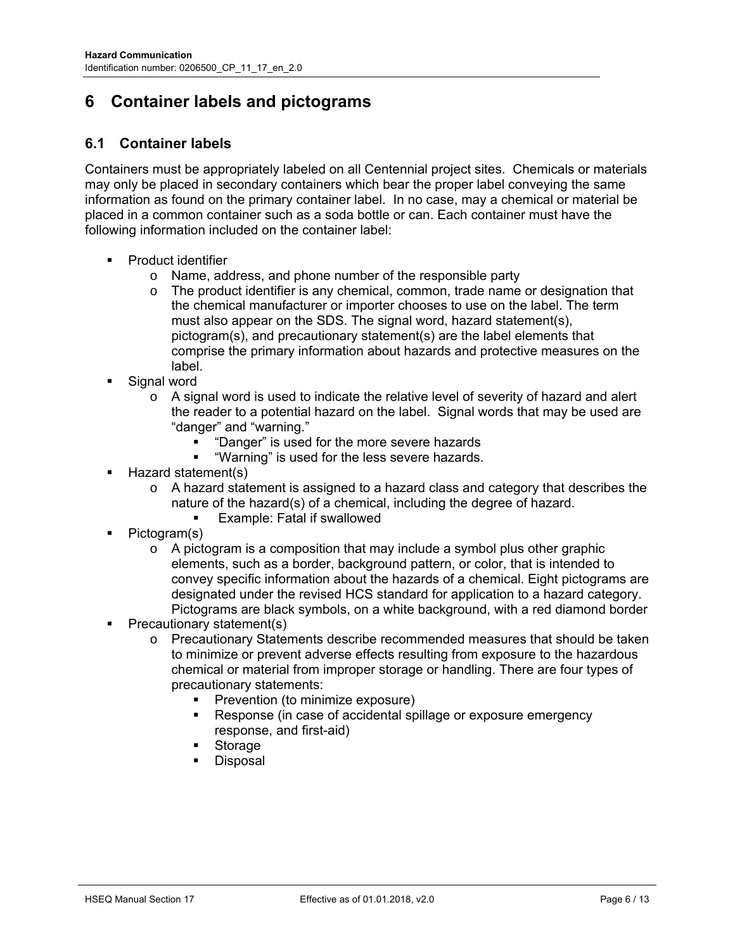# **6 Container labels and pictograms**

## **6.1 Container labels**

Containers must be appropriately labeled on all Centennial project sites. Chemicals or materials may only be placed in secondary containers which bear the proper label conveying the same information as found on the primary container label. In no case, may a chemical or material be placed in a common container such as a soda bottle or can. Each container must have the following information included on the container label:

- Product identifier
	- o Name, address, and phone number of the responsible party
	- $\circ$  The product identifier is any chemical, common, trade name or designation that the chemical manufacturer or importer chooses to use on the label. The term must also appear on the SDS. The signal word, hazard statement(s), pictogram(s), and precautionary statement(s) are the label elements that comprise the primary information about hazards and protective measures on the label.
- Signal word
	- $\circ$  A signal word is used to indicate the relative level of severity of hazard and alert the reader to a potential hazard on the label. Signal words that may be used are "danger" and "warning."
		- "Danger" is used for the more severe hazards
		- "Warning" is used for the less severe hazards.
- Hazard statement(s)
	- o A hazard statement is assigned to a hazard class and category that describes the nature of the hazard(s) of a chemical, including the degree of hazard.
		- Example: Fatal if swallowed
- Pictogram(s)
	- $\circ$  A pictogram is a composition that may include a symbol plus other graphic elements, such as a border, background pattern, or color, that is intended to convey specific information about the hazards of a chemical. Eight pictograms are designated under the revised HCS standard for application to a hazard category. Pictograms are black symbols, on a white background, with a red diamond border
- Precautionary statement(s)
	- o Precautionary Statements describe recommended measures that should be taken to minimize or prevent adverse effects resulting from exposure to the hazardous chemical or material from improper storage or handling. There are four types of precautionary statements:
		- Prevention (to minimize exposure)
		- **Response (in case of accidental spillage or exposure emergency** response, and first-aid)
		- Storage
		- Disposal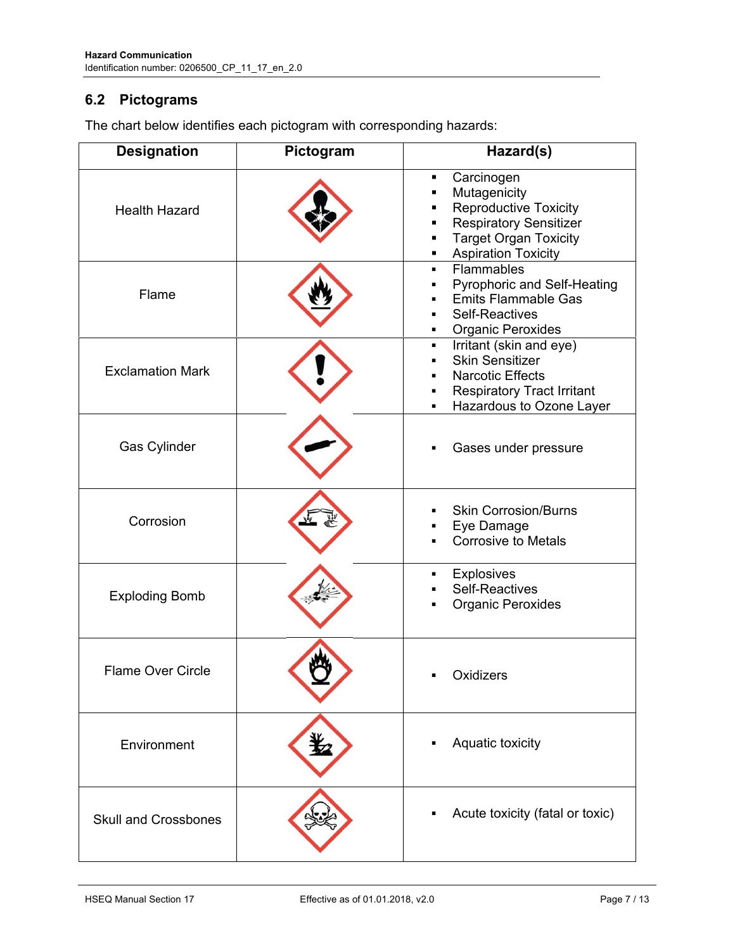## **6.2 Pictograms**

 $\Box$ 

| <b>Designation</b>          | Pictogram | Hazard(s)                                                                                                                                                                 |
|-----------------------------|-----------|---------------------------------------------------------------------------------------------------------------------------------------------------------------------------|
| <b>Health Hazard</b>        |           | Carcinogen<br>٠<br>Mutagenicity<br><b>Reproductive Toxicity</b><br><b>Respiratory Sensitizer</b><br><b>Target Organ Toxicity</b><br>٠<br><b>Aspiration Toxicity</b><br>٠  |
| Flame                       |           | Flammables<br>$\blacksquare$<br>Pyrophoric and Self-Heating<br>٠<br><b>Emits Flammable Gas</b><br><b>Self-Reactives</b><br>٠<br><b>Organic Peroxides</b><br>٠             |
| <b>Exclamation Mark</b>     |           | Irritant (skin and eye)<br>$\blacksquare$<br><b>Skin Sensitizer</b><br><b>Narcotic Effects</b><br><b>Respiratory Tract Irritant</b><br>٠<br>Hazardous to Ozone Layer<br>٠ |
| Gas Cylinder                |           | Gases under pressure                                                                                                                                                      |
| Corrosion                   |           | <b>Skin Corrosion/Burns</b><br>Eye Damage<br>٠<br><b>Corrosive to Metals</b>                                                                                              |
| <b>Exploding Bomb</b>       |           | <b>Explosives</b><br>п<br><b>Self-Reactives</b><br><b>Organic Peroxides</b>                                                                                               |
| <b>Flame Over Circle</b>    |           | Oxidizers                                                                                                                                                                 |
| Environment                 |           | Aquatic toxicity                                                                                                                                                          |
| <b>Skull and Crossbones</b> |           | Acute toxicity (fatal or toxic)                                                                                                                                           |

The chart below identifies each pictogram with corresponding hazards: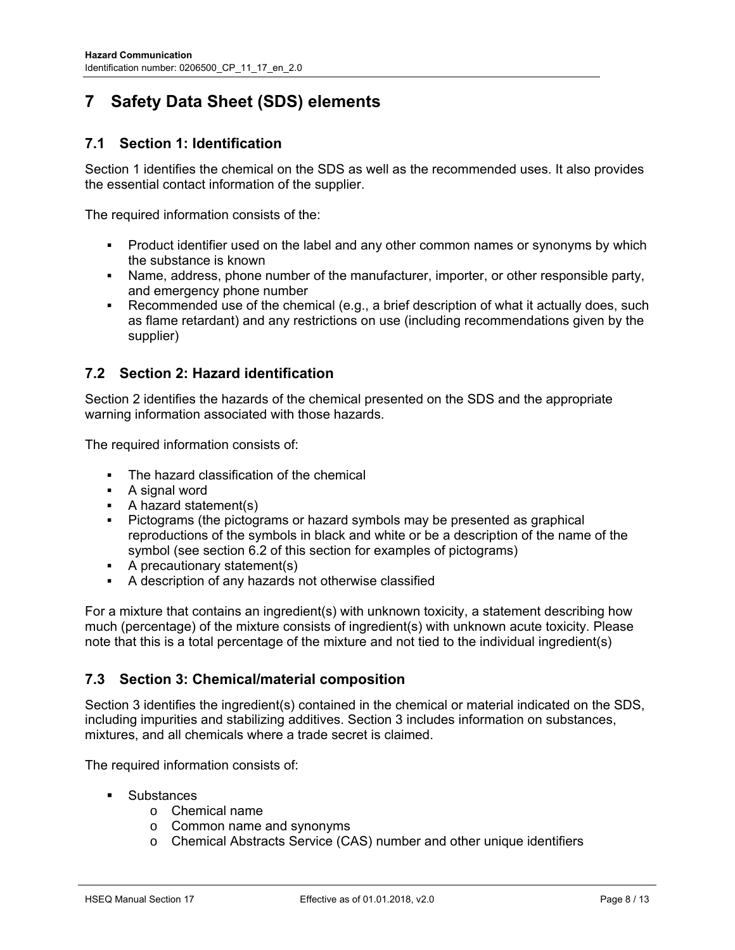# **7 Safety Data Sheet (SDS) elements**

## **7.1 Section 1: Identification**

Section 1 identifies the chemical on the SDS as well as the recommended uses. It also provides the essential contact information of the supplier.

The required information consists of the:

- Product identifier used on the label and any other common names or synonyms by which the substance is known
- Name, address, phone number of the manufacturer, importer, or other responsible party, and emergency phone number
- Recommended use of the chemical (e.g., a brief description of what it actually does, such as flame retardant) and any restrictions on use (including recommendations given by the supplier)

### **7.2 Section 2: Hazard identification**

Section 2 identifies the hazards of the chemical presented on the SDS and the appropriate warning information associated with those hazards.

The required information consists of:

- The hazard classification of the chemical
- **A** signal word
- $\blacksquare$  A hazard statement(s)
- Pictograms (the pictograms or hazard symbols may be presented as graphical reproductions of the symbols in black and white or be a description of the name of the symbol (see section 6.2 of this section for examples of pictograms)
- A precautionary statement(s)
- A description of any hazards not otherwise classified

For a mixture that contains an ingredient(s) with unknown toxicity, a statement describing how much (percentage) of the mixture consists of ingredient(s) with unknown acute toxicity. Please note that this is a total percentage of the mixture and not tied to the individual ingredient(s)

### **7.3 Section 3: Chemical/material composition**

Section 3 identifies the ingredient(s) contained in the chemical or material indicated on the SDS, including impurities and stabilizing additives. Section 3 includes information on substances, mixtures, and all chemicals where a trade secret is claimed.

The required information consists of:

- **Substances** 
	- o Chemical name
	- o Common name and synonyms
	- o Chemical Abstracts Service (CAS) number and other unique identifiers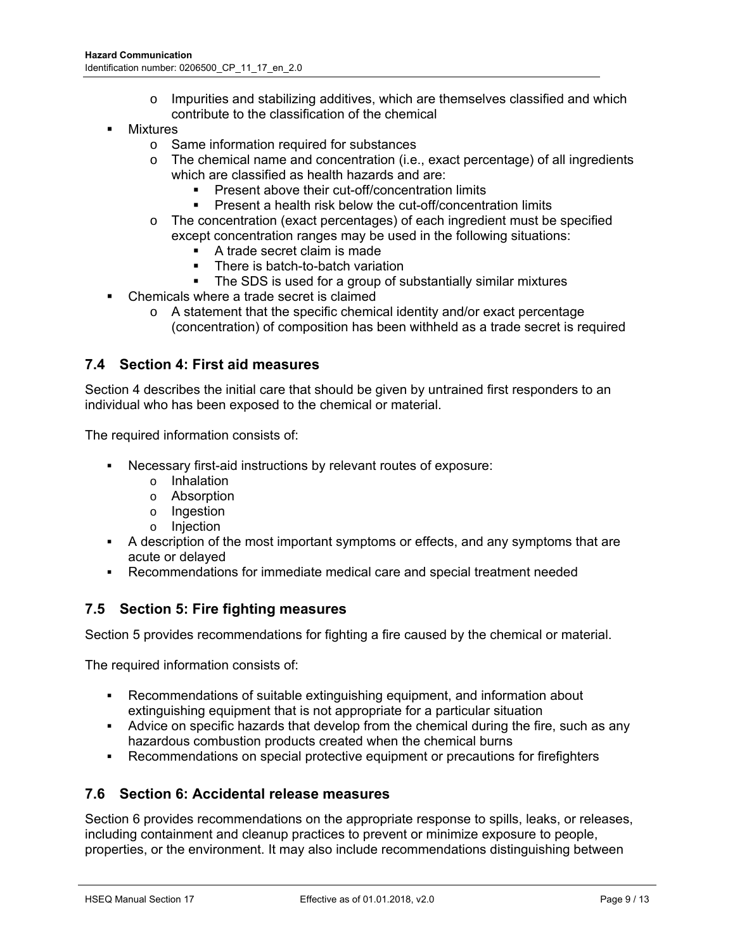- o Impurities and stabilizing additives, which are themselves classified and which contribute to the classification of the chemical
- Mixtures
	- o Same information required for substances
	- $\circ$  The chemical name and concentration (i.e., exact percentage) of all ingredients which are classified as health hazards and are:
		- **Present above their cut-off/concentration limits**
		- Present a health risk below the cut-off/concentration limits
	- o The concentration (exact percentages) of each ingredient must be specified except concentration ranges may be used in the following situations:
		- A trade secret claim is made
		- There is batch-to-batch variation
		- **The SDS is used for a group of substantially similar mixtures**
- Chemicals where a trade secret is claimed
	- o A statement that the specific chemical identity and/or exact percentage (concentration) of composition has been withheld as a trade secret is required

#### **7.4 Section 4: First aid measures**

Section 4 describes the initial care that should be given by untrained first responders to an individual who has been exposed to the chemical or material.

The required information consists of:

- Necessary first-aid instructions by relevant routes of exposure:
	- o Inhalation
	- o Absorption
	- o Ingestion
	- o Injection
- A description of the most important symptoms or effects, and any symptoms that are acute or delayed
- Recommendations for immediate medical care and special treatment needed

#### **7.5 Section 5: Fire fighting measures**

Section 5 provides recommendations for fighting a fire caused by the chemical or material.

The required information consists of:

- Recommendations of suitable extinguishing equipment, and information about extinguishing equipment that is not appropriate for a particular situation
- Advice on specific hazards that develop from the chemical during the fire, such as any hazardous combustion products created when the chemical burns
- Recommendations on special protective equipment or precautions for firefighters

### **7.6 Section 6: Accidental release measures**

Section 6 provides recommendations on the appropriate response to spills, leaks, or releases, including containment and cleanup practices to prevent or minimize exposure to people, properties, or the environment. It may also include recommendations distinguishing between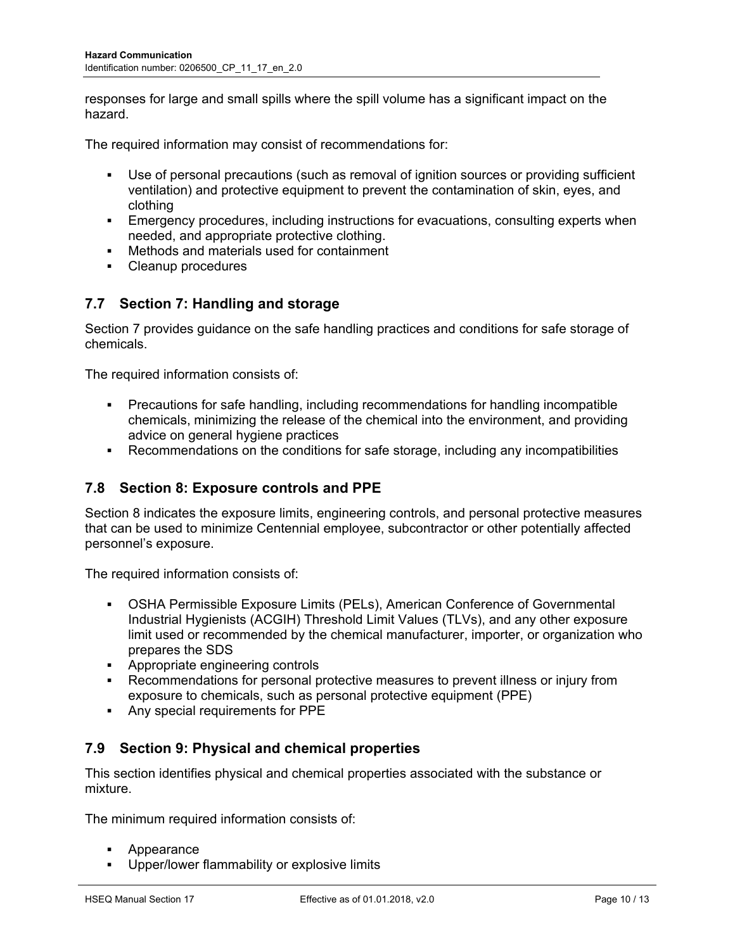responses for large and small spills where the spill volume has a significant impact on the hazard.

The required information may consist of recommendations for:

- Use of personal precautions (such as removal of ignition sources or providing sufficient ventilation) and protective equipment to prevent the contamination of skin, eyes, and clothing
- Emergency procedures, including instructions for evacuations, consulting experts when needed, and appropriate protective clothing.
- Methods and materials used for containment
- Cleanup procedures

## **7.7 Section 7: Handling and storage**

Section 7 provides guidance on the safe handling practices and conditions for safe storage of chemicals.

The required information consists of:

- Precautions for safe handling, including recommendations for handling incompatible chemicals, minimizing the release of the chemical into the environment, and providing advice on general hygiene practices
- Recommendations on the conditions for safe storage, including any incompatibilities

### **7.8 Section 8: Exposure controls and PPE**

Section 8 indicates the exposure limits, engineering controls, and personal protective measures that can be used to minimize Centennial employee, subcontractor or other potentially affected personnel's exposure.

The required information consists of:

- OSHA Permissible Exposure Limits (PELs), American Conference of Governmental Industrial Hygienists (ACGIH) Threshold Limit Values (TLVs), and any other exposure limit used or recommended by the chemical manufacturer, importer, or organization who prepares the SDS
- **Appropriate engineering controls**
- Recommendations for personal protective measures to prevent illness or injury from exposure to chemicals, such as personal protective equipment (PPE)
- Any special requirements for PPE

### **7.9 Section 9: Physical and chemical properties**

This section identifies physical and chemical properties associated with the substance or mixture.

The minimum required information consists of:

- Appearance
- Upper/lower flammability or explosive limits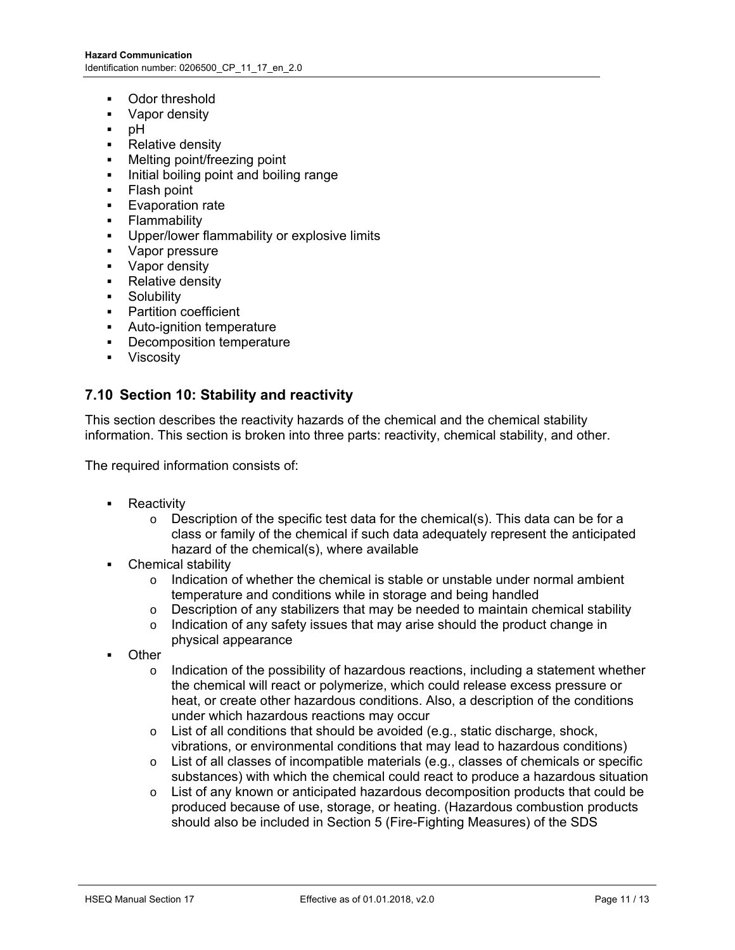- Odor threshold
- Vapor density
- $-$  pH
- Relative density
- Melting point/freezing point
- Initial boiling point and boiling range
- Flash point
- **Evaporation rate**
- **Flammability**
- **Upper/lower flammability or explosive limits**
- Vapor pressure
- **Vapor density**
- Relative density
- **Solubility**
- **•** Partition coefficient
- Auto-ignition temperature
- **•** Decomposition temperature
- **•** Viscosity

#### **7.10 Section 10: Stability and reactivity**

This section describes the reactivity hazards of the chemical and the chemical stability information. This section is broken into three parts: reactivity, chemical stability, and other.

The required information consists of:

- Reactivity
	- $\circ$  Description of the specific test data for the chemical(s). This data can be for a class or family of the chemical if such data adequately represent the anticipated hazard of the chemical(s), where available
- Chemical stability
	- $\circ$  Indication of whether the chemical is stable or unstable under normal ambient temperature and conditions while in storage and being handled
	- $\circ$  Description of any stabilizers that may be needed to maintain chemical stability
	- $\circ$  Indication of any safety issues that may arise should the product change in physical appearance
- **Other** 
	- $\circ$  Indication of the possibility of hazardous reactions, including a statement whether the chemical will react or polymerize, which could release excess pressure or heat, or create other hazardous conditions. Also, a description of the conditions under which hazardous reactions may occur
	- $\circ$  List of all conditions that should be avoided (e.g., static discharge, shock, vibrations, or environmental conditions that may lead to hazardous conditions)
	- o List of all classes of incompatible materials (e.g., classes of chemicals or specific substances) with which the chemical could react to produce a hazardous situation
	- $\circ$  List of any known or anticipated hazardous decomposition products that could be produced because of use, storage, or heating. (Hazardous combustion products should also be included in Section 5 (Fire-Fighting Measures) of the SDS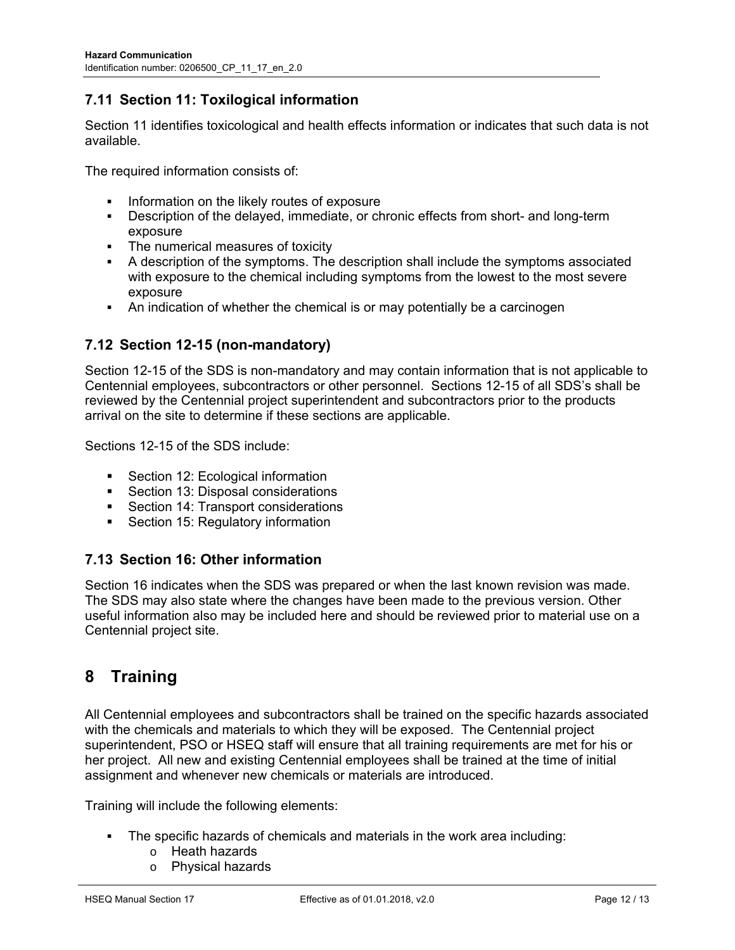## **7.11 Section 11: Toxilogical information**

Section 11 identifies toxicological and health effects information or indicates that such data is not available.

The required information consists of:

- Information on the likely routes of exposure
- Description of the delayed, immediate, or chronic effects from short- and long-term exposure
- The numerical measures of toxicity
- A description of the symptoms. The description shall include the symptoms associated with exposure to the chemical including symptoms from the lowest to the most severe exposure
- An indication of whether the chemical is or may potentially be a carcinogen

#### **7.12 Section 12-15 (non-mandatory)**

Section 12-15 of the SDS is non-mandatory and may contain information that is not applicable to Centennial employees, subcontractors or other personnel. Sections 12-15 of all SDS's shall be reviewed by the Centennial project superintendent and subcontractors prior to the products arrival on the site to determine if these sections are applicable.

Sections 12-15 of the SDS include:

- **Section 12: Ecological information**
- Section 13: Disposal considerations
- Section 14: Transport considerations
- Section 15: Regulatory information

#### **7.13 Section 16: Other information**

Section 16 indicates when the SDS was prepared or when the last known revision was made. The SDS may also state where the changes have been made to the previous version. Other useful information also may be included here and should be reviewed prior to material use on a Centennial project site.

## **8 Training**

All Centennial employees and subcontractors shall be trained on the specific hazards associated with the chemicals and materials to which they will be exposed. The Centennial project superintendent, PSO or HSEQ staff will ensure that all training requirements are met for his or her project. All new and existing Centennial employees shall be trained at the time of initial assignment and whenever new chemicals or materials are introduced.

Training will include the following elements:

- The specific hazards of chemicals and materials in the work area including:
	- o Heath hazards
	- o Physical hazards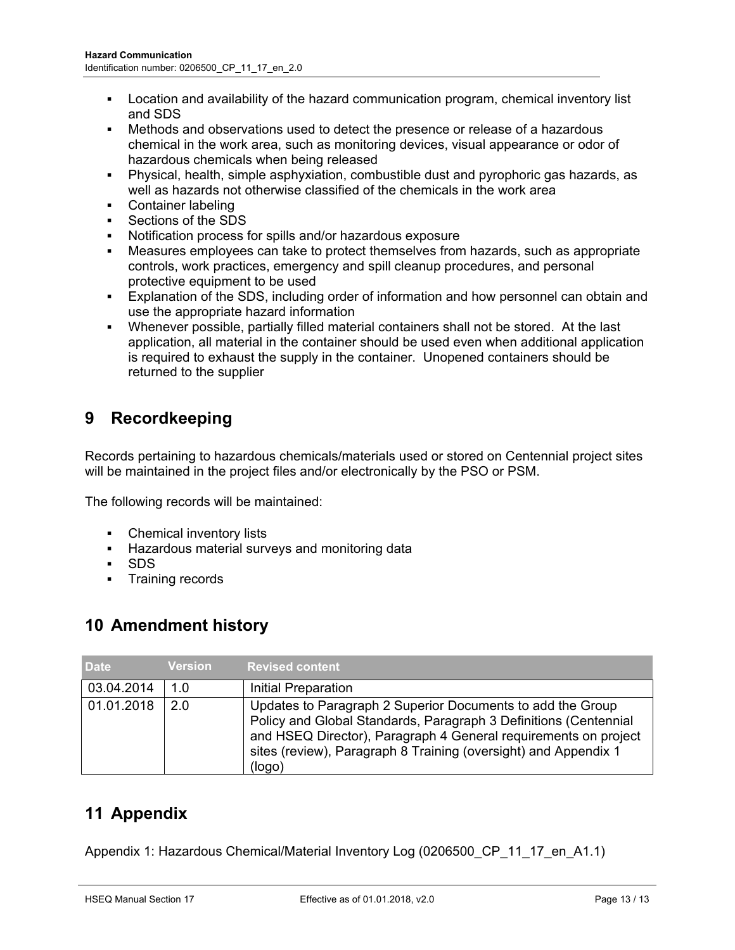- Location and availability of the hazard communication program, chemical inventory list and SDS
- Methods and observations used to detect the presence or release of a hazardous chemical in the work area, such as monitoring devices, visual appearance or odor of hazardous chemicals when being released
- Physical, health, simple asphyxiation, combustible dust and pyrophoric gas hazards, as well as hazards not otherwise classified of the chemicals in the work area
- Container labeling
- Sections of the SDS
- Notification process for spills and/or hazardous exposure
- Measures employees can take to protect themselves from hazards, such as appropriate controls, work practices, emergency and spill cleanup procedures, and personal protective equipment to be used
- Explanation of the SDS, including order of information and how personnel can obtain and use the appropriate hazard information
- Whenever possible, partially filled material containers shall not be stored. At the last application, all material in the container should be used even when additional application is required to exhaust the supply in the container. Unopened containers should be returned to the supplier

# **9 Recordkeeping**

Records pertaining to hazardous chemicals/materials used or stored on Centennial project sites will be maintained in the project files and/or electronically by the PSO or PSM.

The following records will be maintained:

- Chemical inventory lists
- **Hazardous material surveys and monitoring data**
- SDS
- **Training records**

## **10 Amendment history**

| <b>Date</b> | <b>Version</b> | Revised content <sup>'</sup>                                                                                                                                                                                                                                                   |
|-------------|----------------|--------------------------------------------------------------------------------------------------------------------------------------------------------------------------------------------------------------------------------------------------------------------------------|
| 03.04.2014  | 1 O            | Initial Preparation                                                                                                                                                                                                                                                            |
| 01.01.2018  | 2 O            | Updates to Paragraph 2 Superior Documents to add the Group<br>Policy and Global Standards, Paragraph 3 Definitions (Centennial<br>and HSEQ Director), Paragraph 4 General requirements on project<br>sites (review), Paragraph 8 Training (oversight) and Appendix 1<br>(logo) |

# **11 Appendix**

Appendix 1: Hazardous Chemical/Material Inventory Log (0206500 CP 11 17 en A1.1)